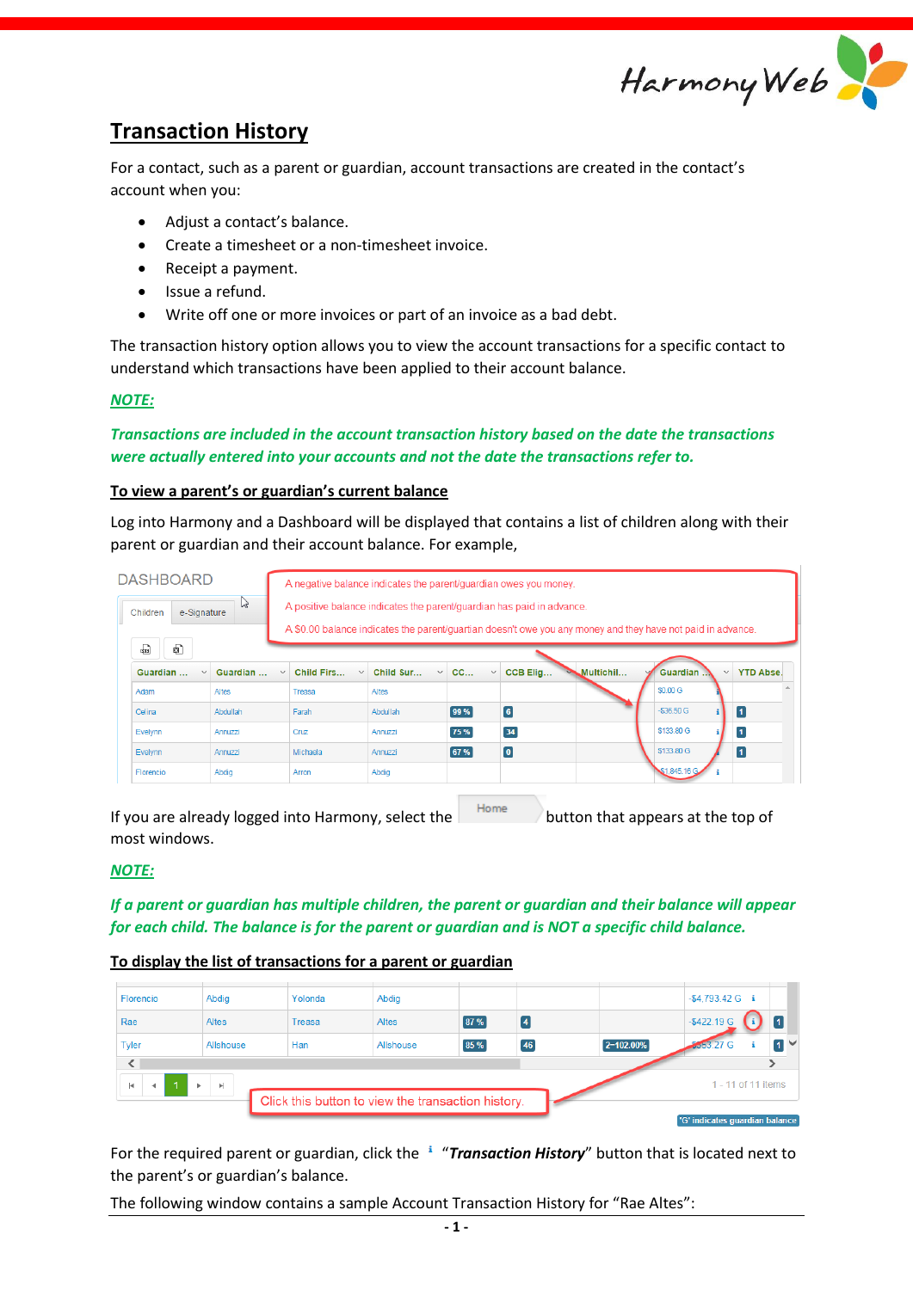

# **Transaction History**

For a contact, such as a parent or guardian, account transactions are created in the contact's account when you:

- Adjust a contact's balance.
- Create a timesheet or a non-timesheet invoice.
- Receipt a payment.
- Issue a refund.
- Write off one or more invoices or part of an invoice as a bad debt.

The transaction history option allows you to view the account transactions for a specific contact to understand which transactions have been applied to their account balance.

# *NOTE:*

# *Transactions are included in the account transaction history based on the date the transactions were actually entered into your accounts and not the date the transactions refer to.*

# **To view a parent's or guardian's current balance**

Log into Harmony and a Dashboard will be displayed that contains a list of children along with their parent or guardian and their account balance. For example,

| <b>DASHBOARD</b>             |                          |              | A negative balance indicates the parent/guardian owes you money.                                                                                                                     |                           |                    |                         |           |                          |                  |  |  |  |
|------------------------------|--------------------------|--------------|--------------------------------------------------------------------------------------------------------------------------------------------------------------------------------------|---------------------------|--------------------|-------------------------|-----------|--------------------------|------------------|--|--|--|
| ド<br>e-Signature<br>Children |                          |              | A positive balance indicates the parent/quardian has paid in advance.<br>A \$0.00 balance indicates the parent/quartian doesn't owe you any money and they have not paid in advance. |                           |                    |                         |           |                          |                  |  |  |  |
|                              | Đ<br>喦                   |              |                                                                                                                                                                                      |                           |                    |                         |           |                          |                  |  |  |  |
|                              | Guardian<br>$\checkmark$ | Guardian     | Child Firs<br>$\checkmark$<br>$\checkmark$                                                                                                                                           | Child Sur<br>$\checkmark$ | CC<br>$\checkmark$ | CCB Elig                | Multichil | Guardian<br>$\checkmark$ | <b>YTD Abse.</b> |  |  |  |
|                              | Adam                     | <b>Altes</b> | Treasa                                                                                                                                                                               | <b>Altes</b>              |                    |                         |           | \$0.00 G                 |                  |  |  |  |
|                              | Celina                   | Abdullah     | Farah                                                                                                                                                                                | Abdullah                  | 99%                | $\boxed{6}$             |           | $-$36.50$ G              | $\boxed{1}$      |  |  |  |
|                              | Evelynn                  | Annuzzi      | Cruz                                                                                                                                                                                 | Annuzzi                   | 75 %               | $34$                    |           | \$133,80 G               | $\vert$ 1        |  |  |  |
|                              | Evelynn                  | Annuzzi      | Michaela                                                                                                                                                                             | Annuzzi                   | 67 %               | $\overline{\mathbf{0}}$ |           | \$133.80 G               | $\overline{1}$   |  |  |  |
|                              | Florencio                | Abdig        | Arron                                                                                                                                                                                | Abdia                     |                    |                         |           | \$1,845.16 G             |                  |  |  |  |
|                              |                          |              |                                                                                                                                                                                      |                           | $1.1 - 1.1$        |                         |           |                          |                  |  |  |  |

If you are already logged into Harmony, select the  $\vert$  Home button that appears at the top of most windows.

*NOTE:* 

*If a parent or guardian has multiple children, the parent or guardian and their balance will appear for each child. The balance is for the parent or guardian and is NOT a specific child balance.*

# **To display the list of transactions for a parent or guardian**

| Florencio                                                                                        | Abdig     | Yolonda | Abdig        |      |    |           | $-$4,793.42 G$ i |                                                      |     |
|--------------------------------------------------------------------------------------------------|-----------|---------|--------------|------|----|-----------|------------------|------------------------------------------------------|-----|
| Rae                                                                                              | Altes     | Treasa  | <b>Altes</b> | 87 % |    |           | -\$422.19 G      |                                                      |     |
| Tyler                                                                                            | Allshouse | Han     | Allshouse    | 85 % | 46 | 2=102.00% | <b>8553.27 G</b> |                                                      | n v |
| $\overline{\phantom{a}}$<br>H.<br>Þ.<br>b.<br>Click this button to view the transaction history. |           |         |              |      |    |           |                  | 1 - 11 of 11 items<br>'G' indicates quardian balance |     |

For the required parent or guardian, click the <sup>1</sup> "Transaction History" button that is located next to the parent's or guardian's balance.

The following window contains a sample Account Transaction History for "Rae Altes":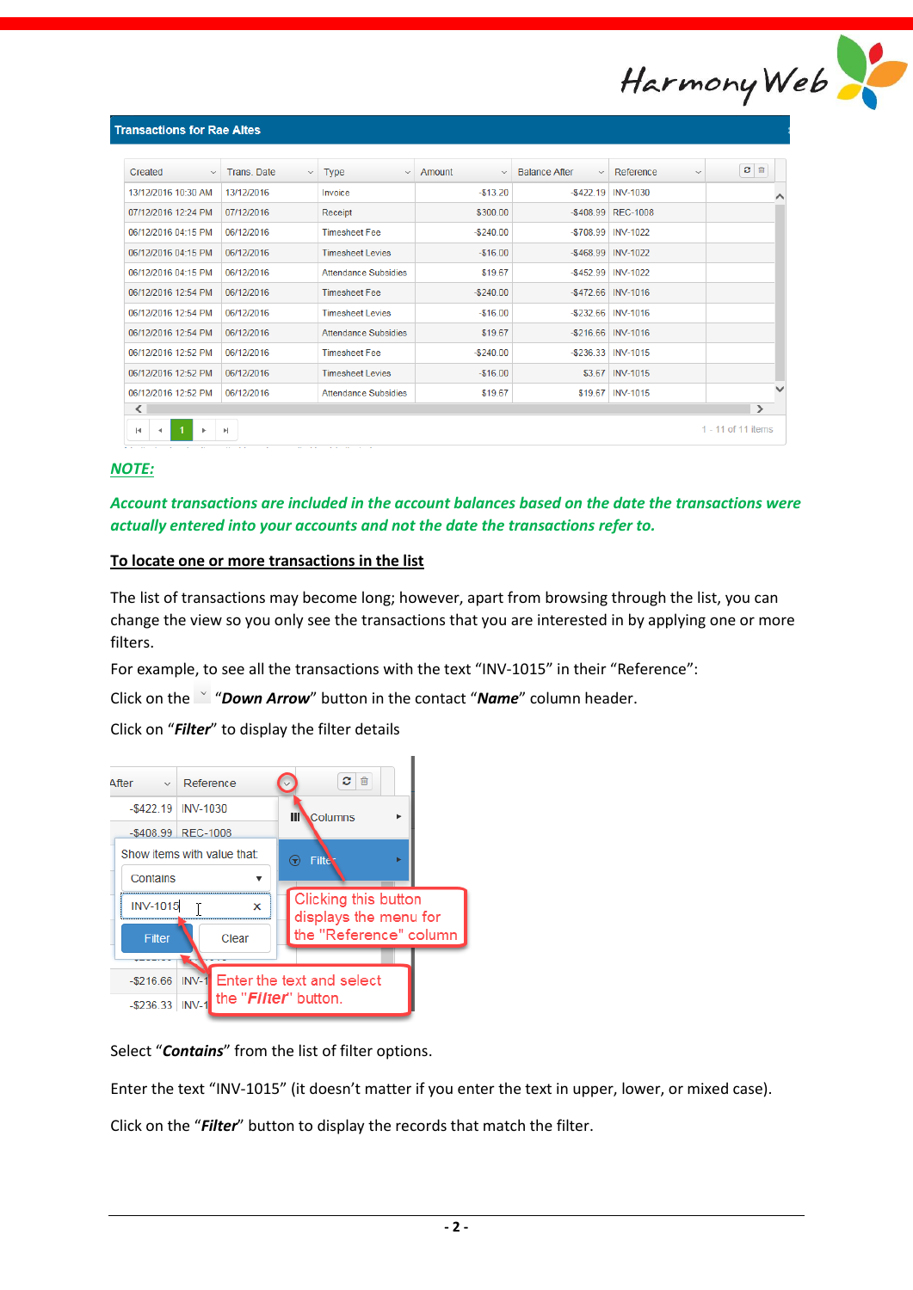

| Created<br>$\checkmark$  | Trans, Date<br>$\checkmark$ | <b>Type</b><br>$\checkmark$ | Amount<br>$\checkmark$ | <b>Balance After</b><br>$\checkmark$ | Reference<br>$\checkmark$ | 會<br>$\boldsymbol{c}$ |   |
|--------------------------|-----------------------------|-----------------------------|------------------------|--------------------------------------|---------------------------|-----------------------|---|
| 13/12/2016 10:30 AM      | 13/12/2016                  | Invoice                     | $-$13.20$              |                                      | $-$422.19$ INV-1030       |                       | ∧ |
| 07/12/2016 12:24 PM      | 07/12/2016                  | Receipt                     | \$300.00               |                                      | -\$408.99   REC-1008      |                       |   |
| 06/12/2016 04:15 PM      | 06/12/2016                  | <b>Timesheet Fee</b>        | $-$240.00$             |                                      | -\$708.99   INV-1022      |                       |   |
| 06/12/2016 04:15 PM      | 06/12/2016                  | <b>Timesheet Levies</b>     | $-$16.00$              |                                      | -\$468.99 INV-1022        |                       |   |
| 06/12/2016 04:15 PM      | 06/12/2016                  | Attendance Subsidies        | \$19.67                |                                      | -\$452.99   INV-1022      |                       |   |
| 06/12/2016 12:54 PM      | 06/12/2016                  | <b>Timesheet Fee</b>        | $-$ \$240.00           |                                      | $-$472.66$ INV-1016       |                       |   |
| 06/12/2016 12:54 PM      | 06/12/2016                  | <b>Timesheet Levies</b>     | $-$16.00$              |                                      | $-$ \$232.66   INV-1016   |                       |   |
| 06/12/2016 12:54 PM      | 06/12/2016                  | <b>Attendance Subsidies</b> | \$19.67                |                                      | $-$ \$216.66   INV-1016   |                       |   |
| 06/12/2016 12:52 PM      | 06/12/2016                  | <b>Timesheet Fee</b>        | $-$ \$240.00           |                                      | $-$ \$236.33   INV-1015   |                       |   |
| 06/12/2016 12:52 PM      | 06/12/2016                  | <b>Timesheet Levies</b>     | $-$16.00$              |                                      | \$3.67 INV-1015           |                       |   |
| 06/12/2016 12:52 PM      | 06/12/2016                  | <b>Attendance Subsidies</b> | \$19.67                |                                      | \$19.67   INV-1015        |                       |   |
| $\overline{\phantom{a}}$ |                             |                             |                        |                                      |                           | $\rightarrow$         |   |

# *NOTE:*

*Account transactions are included in the account balances based on the date the transactions were actually entered into your accounts and not the date the transactions refer to.*

# **To locate one or more transactions in the list**

The list of transactions may become long; however, apart from browsing through the list, you can change the view so you only see the transactions that you are interested in by applying one or more filters.

For example, to see all the transactions with the text "INV-1015" in their "Reference":

Click on the "*Down Arrow*" button in the contact "*Name*" column header.

Click on "*Filter*" to display the filter details



Select "*Contains*" from the list of filter options.

Enter the text "INV-1015" (it doesn't matter if you enter the text in upper, lower, or mixed case).

Click on the "*Filter*" button to display the records that match the filter.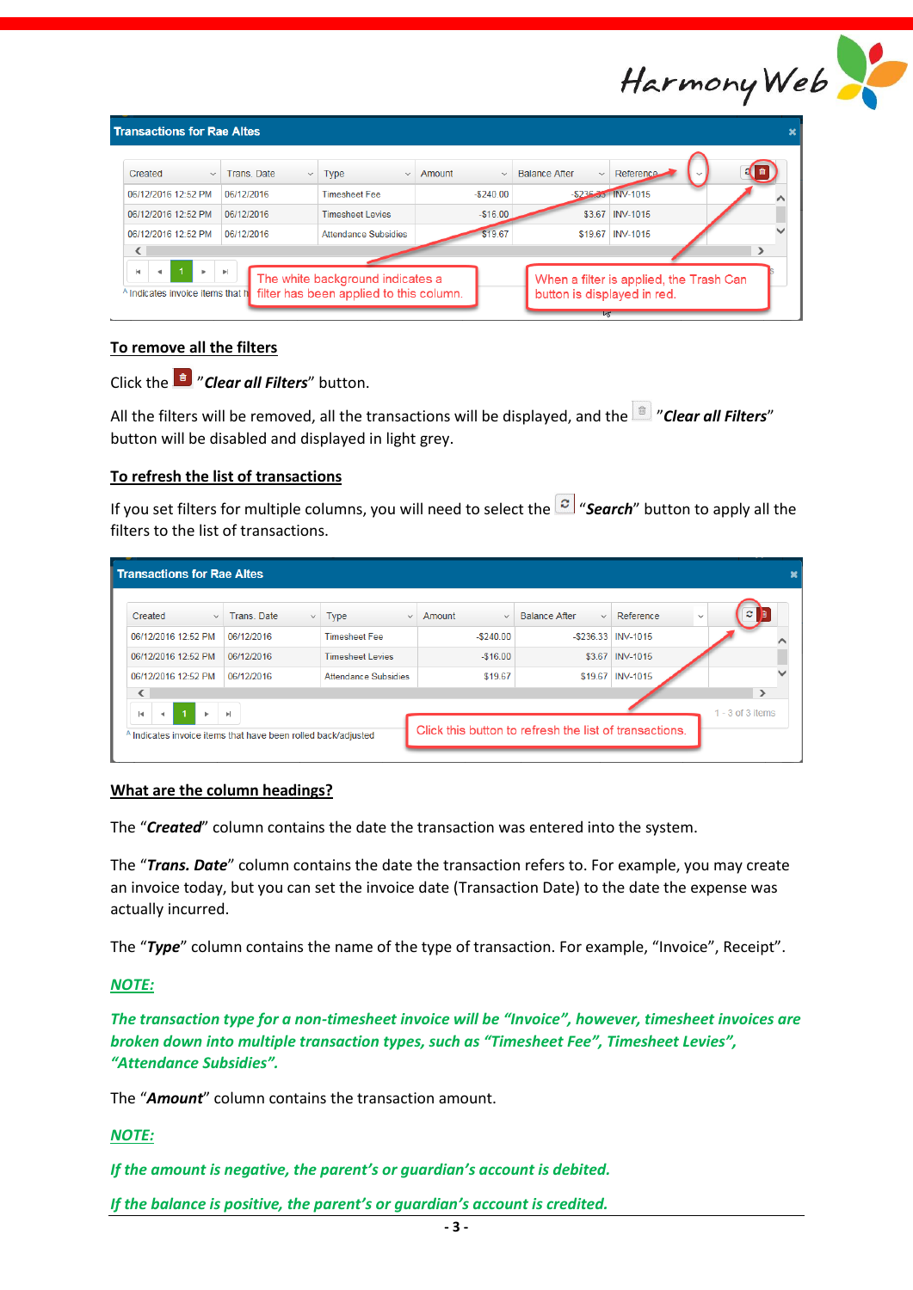| Harmony Web |  |
|-------------|--|

| <b>Transactions for Rae Altes</b>                                          |                             |                                                                             |                        |                                                                        |                    |               |
|----------------------------------------------------------------------------|-----------------------------|-----------------------------------------------------------------------------|------------------------|------------------------------------------------------------------------|--------------------|---------------|
| Created<br>$\checkmark$                                                    | Trans, Date<br>$\checkmark$ | Type<br>$\checkmark$                                                        | Amount<br>$\checkmark$ | <b>Balance After</b><br>$\checkmark$                                   | Reference          |               |
| 06/12/2016 12:52 PM                                                        | 06/12/2016                  | <b>Timesheet Fee</b>                                                        | $-5240.00$             |                                                                        | -\$236.35 INV-1015 |               |
| 06/12/2016 12:52 PM                                                        | 06/12/2016                  | <b>Timesheet Levies</b>                                                     | $-$16.00$              |                                                                        | \$3.67 INV-1015    |               |
| 06/12/2016 12:52 PM                                                        | 06/12/2016                  | <b>Attendance Subsidies</b>                                                 | \$19.67                |                                                                        | \$19.67 INV-1015   |               |
|                                                                            |                             |                                                                             |                        |                                                                        |                    | $\rightarrow$ |
| H.<br>$\blacksquare$<br>Þ.<br><sup>A</sup> Indicates invoice items that hi | $\mathbb{P}$                | The white background indicates a<br>filter has been applied to this column. |                        | When a filter is applied, the Trash Can<br>button is displayed in red. |                    |               |

# **To remove all the filters**

Click the "*Clear all Filters*" button.

All the filters will be removed, all the transactions will be displayed, and the "*Clear all Filters*" button will be disabled and displayed in light grey.

# **To refresh the list of transactions**

If you set filters for multiple columns, you will need to select the "*Search*" button to apply all the filters to the list of transactions.

| Created<br>$\checkmark$ | Trans, Date<br>$\checkmark$ | <b>Type</b><br>$\checkmark$ | Amount<br>$\checkmark$ | Balance After<br>$\checkmark$ | Reference            | øΙ<br>$\checkmark$ |
|-------------------------|-----------------------------|-----------------------------|------------------------|-------------------------------|----------------------|--------------------|
| 06/12/2016 12:52 PM     | 06/12/2016                  | <b>Timesheet Fee</b>        | $-$ \$240.00           |                               | -\$236.33   INV-1015 |                    |
| 06/12/2016 12:52 PM     | 06/12/2016                  | <b>Timesheet Levies</b>     | $-$16.00$              |                               | \$3.67 INV-1015      |                    |
| 06/12/2016 12:52 PM     | 06/12/2016                  | Attendance Subsidies        | \$19.67                |                               | \$19.67   INV-1015   |                    |
|                         |                             |                             |                        |                               |                      | $\rightarrow$      |

# **What are the column headings?**

The "*Created*" column contains the date the transaction was entered into the system.

The "*Trans. Date*" column contains the date the transaction refers to. For example, you may create an invoice today, but you can set the invoice date (Transaction Date) to the date the expense was actually incurred.

The "*Type*" column contains the name of the type of transaction. For example, "Invoice", Receipt".

# *NOTE:*

*The transaction type for a non-timesheet invoice will be "Invoice", however, timesheet invoices are broken down into multiple transaction types, such as "Timesheet Fee", Timesheet Levies", "Attendance Subsidies".*

The "*Amount*" column contains the transaction amount.

# *NOTE:*

*If the amount is negative, the parent's or guardian's account is debited.*

*If the balance is positive, the parent's or guardian's account is credited.*